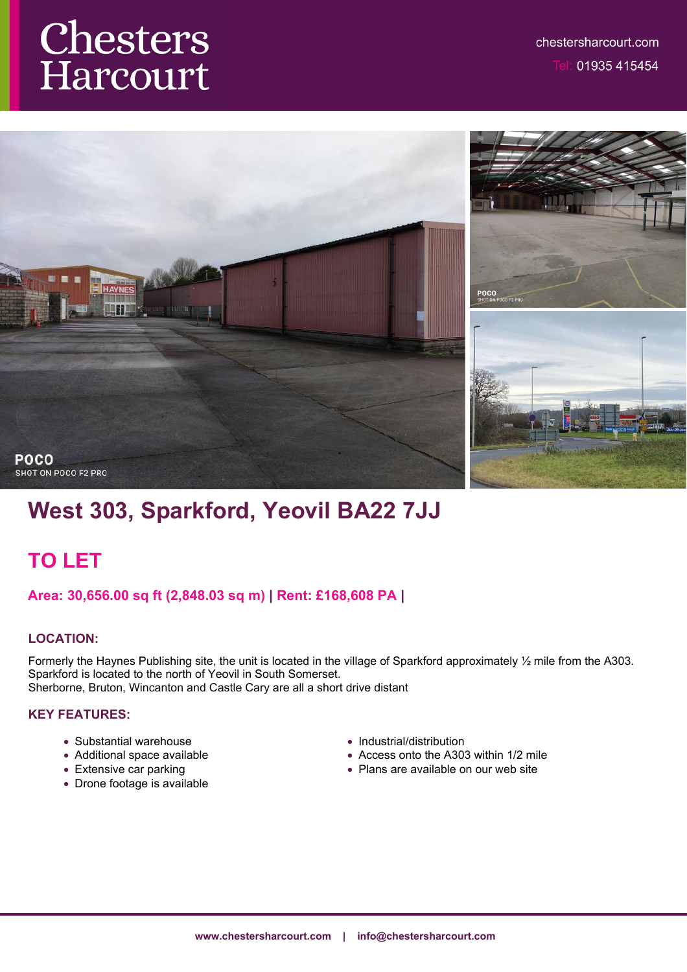# **Chesters**<br>Harcourt



# **West 303, Sparkford, Yeovil BA22 7JJ**

## **TO LET**

**Area: 30,656.00 sq ft (2,848.03 sq m) | Rent: £168,608 PA |**

## **LOCATION:**

Formerly the Haynes Publishing site, the unit is located in the village of Sparkford approximately  $\frac{1}{2}$  mile from the A303. Sparkford is located to the north of Yeovil in South Somerset. Sherborne, Bruton, Wincanton and Castle Cary are all a short drive distant

## **KEY FEATURES:**

- Substantial warehouse
- Additional space available
- Extensive car parking
- Drone footage is available
- Industrial/distribution
- Access onto the A303 within 1/2 mile
- Plans are available on our web site